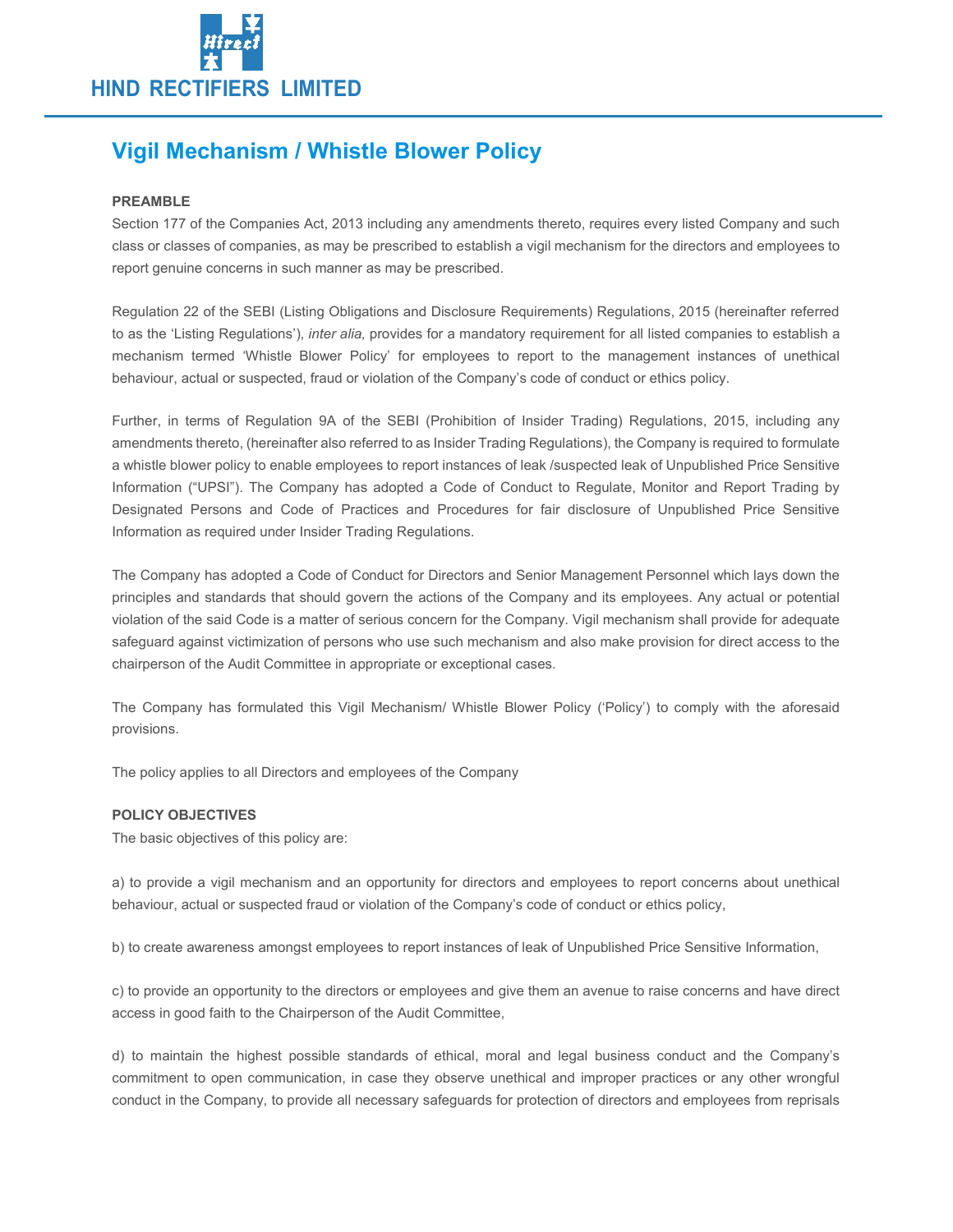

# Vigil Mechanism / Whistle Blower Policy

### PREAMBLE

Section 177 of the Companies Act, 2013 including any amendments thereto, requires every listed Company and such class or classes of companies, as may be prescribed to establish a vigil mechanism for the directors and employees to report genuine concerns in such manner as may be prescribed.

Regulation 22 of the SEBI (Listing Obligations and Disclosure Requirements) Regulations, 2015 (hereinafter referred to as the 'Listing Regulations'), inter alia, provides for a mandatory requirement for all listed companies to establish a mechanism termed 'Whistle Blower Policy' for employees to report to the management instances of unethical behaviour, actual or suspected, fraud or violation of the Company's code of conduct or ethics policy.

Further, in terms of Regulation 9A of the SEBI (Prohibition of Insider Trading) Regulations, 2015, including any amendments thereto, (hereinafter also referred to as Insider Trading Regulations), the Company is required to formulate a whistle blower policy to enable employees to report instances of leak /suspected leak of Unpublished Price Sensitive Information ("UPSI"). The Company has adopted a Code of Conduct to Regulate, Monitor and Report Trading by Designated Persons and Code of Practices and Procedures for fair disclosure of Unpublished Price Sensitive Information as required under Insider Trading Regulations.

The Company has adopted a Code of Conduct for Directors and Senior Management Personnel which lays down the principles and standards that should govern the actions of the Company and its employees. Any actual or potential violation of the said Code is a matter of serious concern for the Company. Vigil mechanism shall provide for adequate safeguard against victimization of persons who use such mechanism and also make provision for direct access to the chairperson of the Audit Committee in appropriate or exceptional cases.

The Company has formulated this Vigil Mechanism/ Whistle Blower Policy ('Policy') to comply with the aforesaid provisions.

The policy applies to all Directors and employees of the Company

## POLICY OBJECTIVES

The basic objectives of this policy are:

a) to provide a vigil mechanism and an opportunity for directors and employees to report concerns about unethical behaviour, actual or suspected fraud or violation of the Company's code of conduct or ethics policy,

b) to create awareness amongst employees to report instances of leak of Unpublished Price Sensitive Information,

c) to provide an opportunity to the directors or employees and give them an avenue to raise concerns and have direct access in good faith to the Chairperson of the Audit Committee,

d) to maintain the highest possible standards of ethical, moral and legal business conduct and the Company's commitment to open communication, in case they observe unethical and improper practices or any other wrongful conduct in the Company, to provide all necessary safeguards for protection of directors and employees from reprisals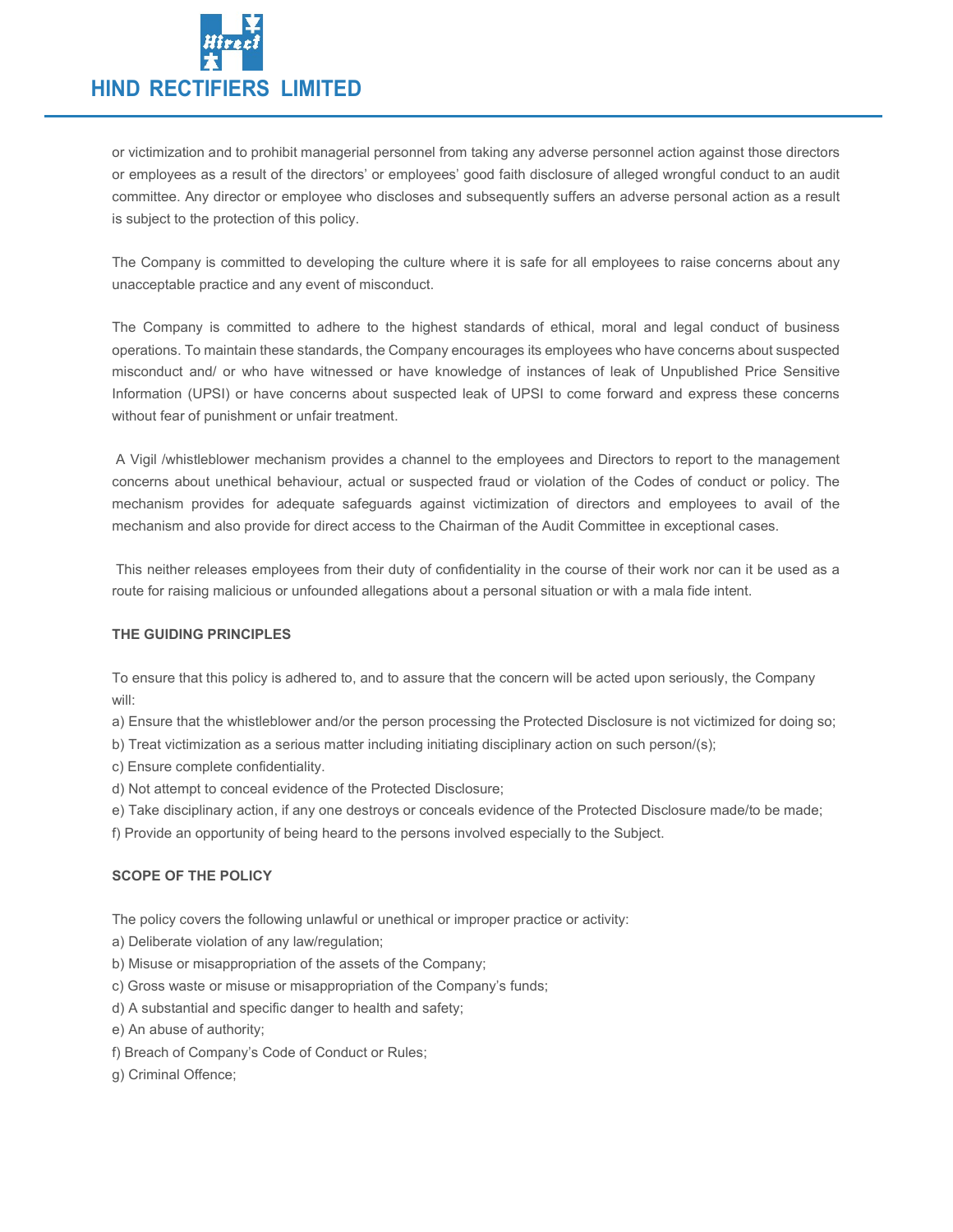

or victimization and to prohibit managerial personnel from taking any adverse personnel action against those directors or employees as a result of the directors' or employees' good faith disclosure of alleged wrongful conduct to an audit committee. Any director or employee who discloses and subsequently suffers an adverse personal action as a result is subject to the protection of this policy.

The Company is committed to developing the culture where it is safe for all employees to raise concerns about any unacceptable practice and any event of misconduct.

The Company is committed to adhere to the highest standards of ethical, moral and legal conduct of business operations. To maintain these standards, the Company encourages its employees who have concerns about suspected misconduct and/ or who have witnessed or have knowledge of instances of leak of Unpublished Price Sensitive Information (UPSI) or have concerns about suspected leak of UPSI to come forward and express these concerns without fear of punishment or unfair treatment.

 A Vigil /whistleblower mechanism provides a channel to the employees and Directors to report to the management concerns about unethical behaviour, actual or suspected fraud or violation of the Codes of conduct or policy. The mechanism provides for adequate safeguards against victimization of directors and employees to avail of the mechanism and also provide for direct access to the Chairman of the Audit Committee in exceptional cases.

 This neither releases employees from their duty of confidentiality in the course of their work nor can it be used as a route for raising malicious or unfounded allegations about a personal situation or with a mala fide intent.

#### THE GUIDING PRINCIPLES

To ensure that this policy is adhered to, and to assure that the concern will be acted upon seriously, the Company will:

a) Ensure that the whistleblower and/or the person processing the Protected Disclosure is not victimized for doing so;

b) Treat victimization as a serious matter including initiating disciplinary action on such person/(s);

c) Ensure complete confidentiality.

d) Not attempt to conceal evidence of the Protected Disclosure;

e) Take disciplinary action, if any one destroys or conceals evidence of the Protected Disclosure made/to be made;

f) Provide an opportunity of being heard to the persons involved especially to the Subject.

#### SCOPE OF THE POLICY

The policy covers the following unlawful or unethical or improper practice or activity:

a) Deliberate violation of any law/regulation;

- b) Misuse or misappropriation of the assets of the Company;
- c) Gross waste or misuse or misappropriation of the Company's funds;
- d) A substantial and specific danger to health and safety;

e) An abuse of authority;

f) Breach of Company's Code of Conduct or Rules;

g) Criminal Offence;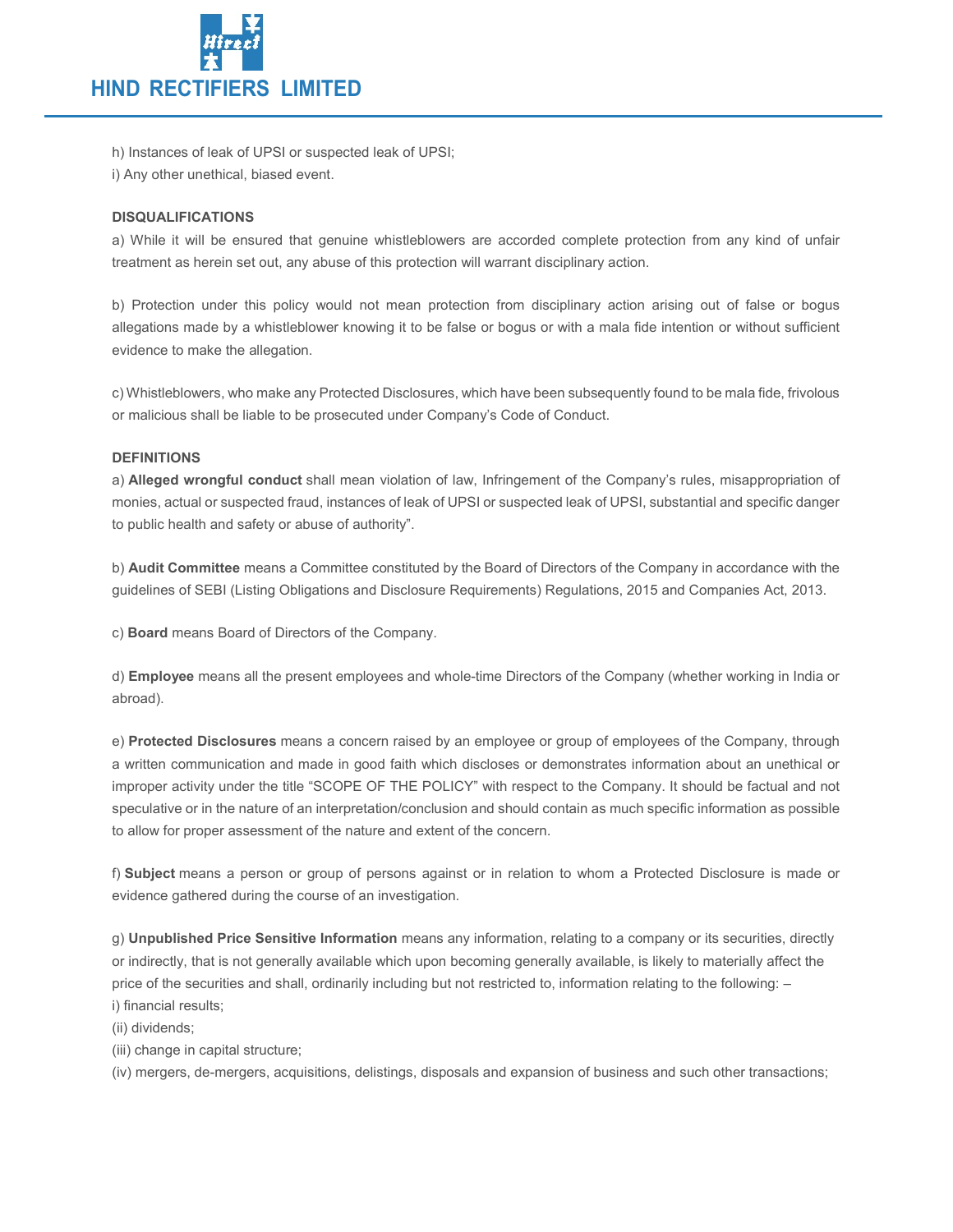

h) Instances of leak of UPSI or suspected leak of UPSI;

i) Any other unethical, biased event.

## DISQUALIFICATIONS

a) While it will be ensured that genuine whistleblowers are accorded complete protection from any kind of unfair treatment as herein set out, any abuse of this protection will warrant disciplinary action.

b) Protection under this policy would not mean protection from disciplinary action arising out of false or bogus allegations made by a whistleblower knowing it to be false or bogus or with a mala fide intention or without sufficient evidence to make the allegation.

c) Whistleblowers, who make any Protected Disclosures, which have been subsequently found to be mala fide, frivolous or malicious shall be liable to be prosecuted under Company's Code of Conduct.

## DEFINITIONS

a) Alleged wrongful conduct shall mean violation of law, Infringement of the Company's rules, misappropriation of monies, actual or suspected fraud, instances of leak of UPSI or suspected leak of UPSI, substantial and specific danger to public health and safety or abuse of authority".

b) Audit Committee means a Committee constituted by the Board of Directors of the Company in accordance with the guidelines of SEBI (Listing Obligations and Disclosure Requirements) Regulations, 2015 and Companies Act, 2013.

c) Board means Board of Directors of the Company.

d) Employee means all the present employees and whole-time Directors of the Company (whether working in India or abroad).

e) Protected Disclosures means a concern raised by an employee or group of employees of the Company, through a written communication and made in good faith which discloses or demonstrates information about an unethical or improper activity under the title "SCOPE OF THE POLICY" with respect to the Company. It should be factual and not speculative or in the nature of an interpretation/conclusion and should contain as much specific information as possible to allow for proper assessment of the nature and extent of the concern.

f) Subject means a person or group of persons against or in relation to whom a Protected Disclosure is made or evidence gathered during the course of an investigation.

g) Unpublished Price Sensitive Information means any information, relating to a company or its securities, directly or indirectly, that is not generally available which upon becoming generally available, is likely to materially affect the price of the securities and shall, ordinarily including but not restricted to, information relating to the following: – i) financial results;

(ii) dividends;

(iii) change in capital structure;

(iv) mergers, de-mergers, acquisitions, delistings, disposals and expansion of business and such other transactions;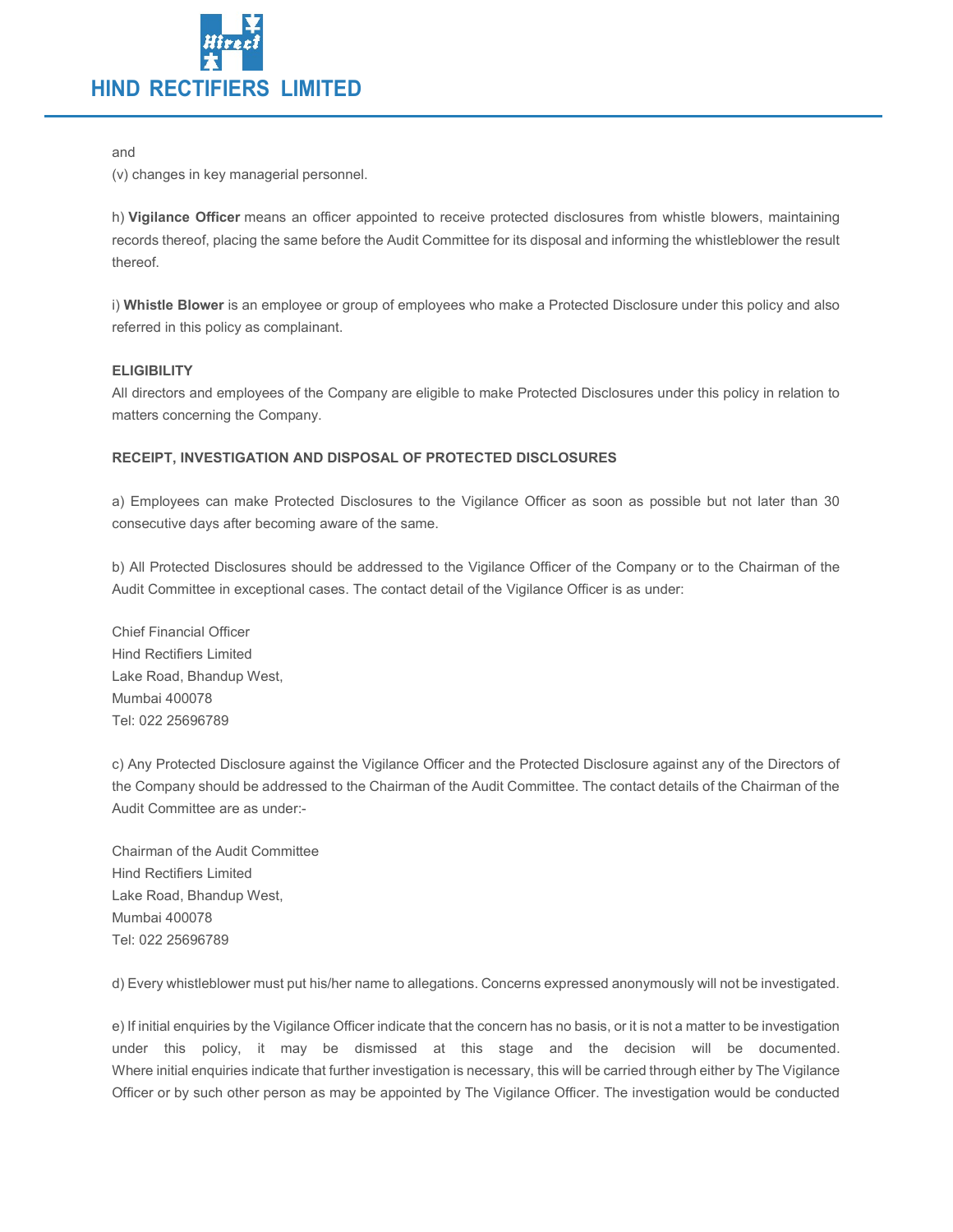

#### and

(v) changes in key managerial personnel.

h) Vigilance Officer means an officer appointed to receive protected disclosures from whistle blowers, maintaining records thereof, placing the same before the Audit Committee for its disposal and informing the whistleblower the result thereof.

i) Whistle Blower is an employee or group of employees who make a Protected Disclosure under this policy and also referred in this policy as complainant.

## **ELIGIBILITY**

All directors and employees of the Company are eligible to make Protected Disclosures under this policy in relation to matters concerning the Company.

## RECEIPT, INVESTIGATION AND DISPOSAL OF PROTECTED DISCLOSURES

a) Employees can make Protected Disclosures to the Vigilance Officer as soon as possible but not later than 30 consecutive days after becoming aware of the same.

b) All Protected Disclosures should be addressed to the Vigilance Officer of the Company or to the Chairman of the Audit Committee in exceptional cases. The contact detail of the Vigilance Officer is as under:

Chief Financial Officer Hind Rectifiers Limited Lake Road, Bhandup West, Mumbai 400078 Tel: 022 25696789

c) Any Protected Disclosure against the Vigilance Officer and the Protected Disclosure against any of the Directors of the Company should be addressed to the Chairman of the Audit Committee. The contact details of the Chairman of the Audit Committee are as under:-

Chairman of the Audit Committee Hind Rectifiers Limited Lake Road, Bhandup West, Mumbai 400078 Tel: 022 25696789

d) Every whistleblower must put his/her name to allegations. Concerns expressed anonymously will not be investigated.

e) If initial enquiries by the Vigilance Officer indicate that the concern has no basis, or it is not a matter to be investigation under this policy, it may be dismissed at this stage and the decision will be documented. Where initial enquiries indicate that further investigation is necessary, this will be carried through either by The Vigilance Officer or by such other person as may be appointed by The Vigilance Officer. The investigation would be conducted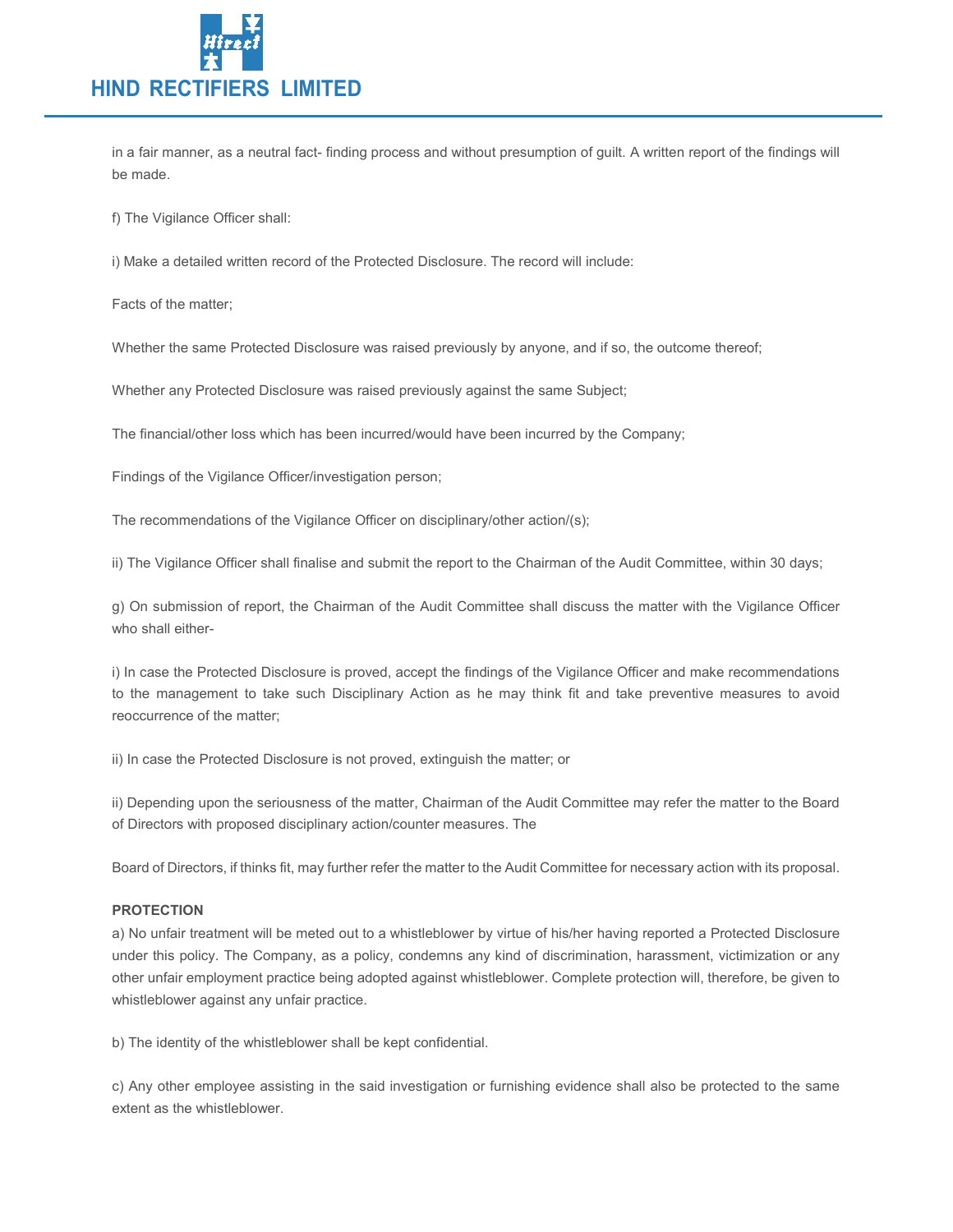

in a fair manner, as a neutral fact- finding process and without presumption of guilt. A written report of the findings will be made.

f) The Vigilance Officer shall:

i) Make a detailed written record of the Protected Disclosure. The record will include:

Facts of the matter;

Whether the same Protected Disclosure was raised previously by anyone, and if so, the outcome thereof;

Whether any Protected Disclosure was raised previously against the same Subject;

The financial/other loss which has been incurred/would have been incurred by the Company;

Findings of the Vigilance Officer/investigation person;

The recommendations of the Vigilance Officer on disciplinary/other action/(s);

ii) The Vigilance Officer shall finalise and submit the report to the Chairman of the Audit Committee, within 30 days;

g) On submission of report, the Chairman of the Audit Committee shall discuss the matter with the Vigilance Officer who shall either-

i) In case the Protected Disclosure is proved, accept the findings of the Vigilance Officer and make recommendations to the management to take such Disciplinary Action as he may think fit and take preventive measures to avoid reoccurrence of the matter;

ii) In case the Protected Disclosure is not proved, extinguish the matter; or

ii) Depending upon the seriousness of the matter, Chairman of the Audit Committee may refer the matter to the Board of Directors with proposed disciplinary action/counter measures. The

Board of Directors, if thinks fit, may further refer the matter to the Audit Committee for necessary action with its proposal.

#### PROTECTION

a) No unfair treatment will be meted out to a whistleblower by virtue of his/her having reported a Protected Disclosure under this policy. The Company, as a policy, condemns any kind of discrimination, harassment, victimization or any other unfair employment practice being adopted against whistleblower. Complete protection will, therefore, be given to whistleblower against any unfair practice.

b) The identity of the whistleblower shall be kept confidential.

c) Any other employee assisting in the said investigation or furnishing evidence shall also be protected to the same extent as the whistleblower.